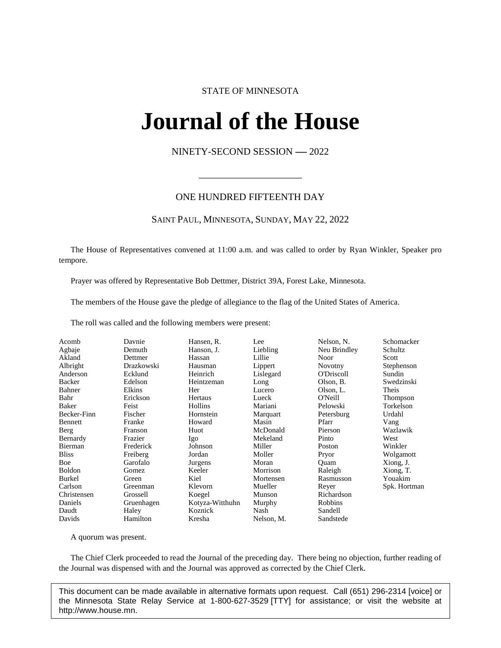# STATE OF MINNESOTA

# **Journal of the House IFINAL OL UNE FIOI**<br>NINETY-SECOND SESSION -- 2022

# ONE HUNDRED FIFTEENTH DAY

\_\_\_\_\_\_\_\_\_\_\_\_\_\_\_\_\_\_\_\_\_

# SAINT PAUL, MINNESOTA, SUNDAY, MAY 22, 2022

The House of Representatives convened at 11:00 a.m. and was called to order by Ryan Winkler, Speaker pro tempore.

Prayer was offered by Representative Bob Dettmer, District 39A, Forest Lake, Minnesota.

The members of the House gave the pledge of allegiance to the flag of the United States of America.

The roll was called and the following members were present:

| Acomb         | Davnie     | Hansen, R.      | Lee        | Nelson, N.     | Schomacker   |
|---------------|------------|-----------------|------------|----------------|--------------|
| Agbaje        | Demuth     | Hanson, J.      | Liebling   | Neu Brindley   | Schultz      |
| Akland        | Dettmer    | Hassan          | Lillie     | Noor           | Scott        |
| Albright      | Drazkowski | Hausman         | Lippert    | <b>Novotny</b> | Stephenson   |
| Anderson      | Ecklund    | Heinrich        | Lislegard  | O'Driscoll     | Sundin       |
| Backer        | Edelson    | Heintzeman      | Long       | Olson, B.      | Swedzinski   |
| Bahner        | Elkins     | Her             | Lucero     | Olson, L.      | Theis        |
| Bahr          | Erickson   | Hertaus         | Lueck      | O'Neill        | Thompson     |
| Baker         | Feist      | Hollins         | Mariani    | Pelowski       | Torkelson    |
| Becker-Finn   | Fischer    | Hornstein       | Marquart   | Petersburg     | Urdahl       |
| Bennett       | Franke     | Howard          | Masin      | Pfarr          | Vang         |
| Berg          | Franson    | Huot            | McDonald   | Pierson        | Wazlawik     |
| Bernardy      | Frazier    | Igo             | Mekeland   | Pinto          | West         |
| Bierman       | Frederick  | Johnson         | Miller     | Poston         | Winkler      |
| <b>Bliss</b>  | Freiberg   | Jordan          | Moller     | Pryor          | Wolgamott    |
| Boe           | Garofalo   | Jurgens         | Moran      | Quam           | Xiong, J.    |
| <b>Boldon</b> | Gomez      | Keeler          | Morrison   | Raleigh        | Xiong, T.    |
| Burkel        | Green      | Kiel            | Mortensen  | Rasmusson      | Youakim      |
| Carlson       | Greenman   | Klevorn         | Mueller    | Reyer          | Spk. Hortman |
| Christensen   | Grossell   | Koegel          | Munson     | Richardson     |              |
| Daniels       | Gruenhagen | Kotyza-Witthuhn | Murphy     | Robbins        |              |
| Daudt         | Haley      | Koznick         | Nash       | Sandell        |              |
| Davids        | Hamilton   | Kresha          | Nelson, M. | Sandstede      |              |

A quorum was present.

The Chief Clerk proceeded to read the Journal of the preceding day. There being no objection, further reading of the Journal was dispensed with and the Journal was approved as corrected by the Chief Clerk.

This document can be made available in alternative formats upon request. Call (651) 296-2314 [voice] or the Minnesota State Relay Service at 1-800-627-3529 [TTY] for assistance; or visit the website at http://www.house.mn.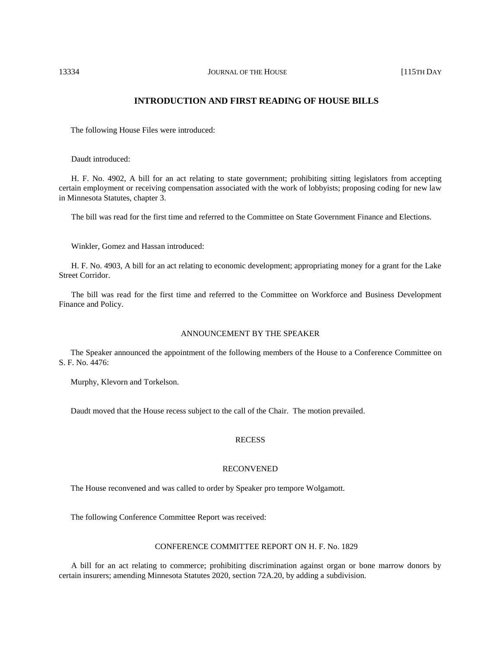# **INTRODUCTION AND FIRST READING OF HOUSE BILLS**

The following House Files were introduced:

Daudt introduced:

H. F. No. 4902, A bill for an act relating to state government; prohibiting sitting legislators from accepting certain employment or receiving compensation associated with the work of lobbyists; proposing coding for new law in Minnesota Statutes, chapter 3.

The bill was read for the first time and referred to the Committee on State Government Finance and Elections.

Winkler, Gomez and Hassan introduced:

H. F. No. 4903, A bill for an act relating to economic development; appropriating money for a grant for the Lake Street Corridor.

The bill was read for the first time and referred to the Committee on Workforce and Business Development Finance and Policy.

# ANNOUNCEMENT BY THE SPEAKER

The Speaker announced the appointment of the following members of the House to a Conference Committee on S. F. No. 4476:

Murphy, Klevorn and Torkelson.

Daudt moved that the House recess subject to the call of the Chair. The motion prevailed.

## RECESS

## RECONVENED

The House reconvened and was called to order by Speaker pro tempore Wolgamott.

The following Conference Committee Report was received:

#### CONFERENCE COMMITTEE REPORT ON H. F. No. 1829

A bill for an act relating to commerce; prohibiting discrimination against organ or bone marrow donors by certain insurers; amending Minnesota Statutes 2020, section 72A.20, by adding a subdivision.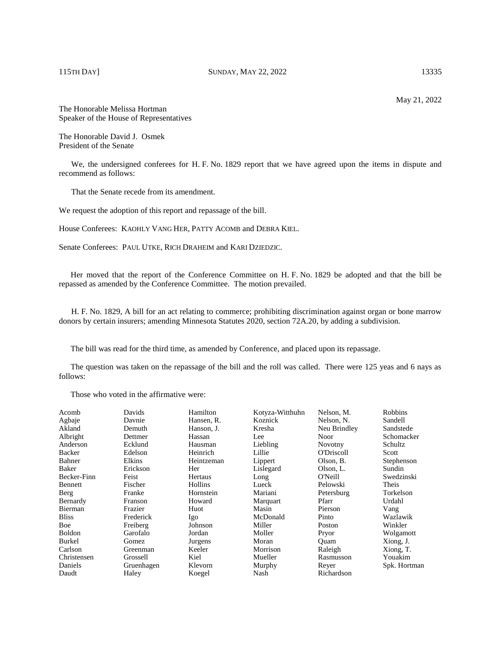# 115TH DAY] SUNDAY, MAY 22, 2022 13335

The Honorable Melissa Hortman Speaker of the House of Representatives

The Honorable David J. Osmek President of the Senate

We, the undersigned conferees for H. F. No. 1829 report that we have agreed upon the items in dispute and recommend as follows:

That the Senate recede from its amendment.

We request the adoption of this report and repassage of the bill.

House Conferees: KAOHLY VANG HER, PATTY ACOMB and DEBRA KIEL.

Senate Conferees: PAUL UTKE, RICH DRAHEIM and KARI DZIEDZIC.

Her moved that the report of the Conference Committee on H. F. No. 1829 be adopted and that the bill be repassed as amended by the Conference Committee. The motion prevailed.

H. F. No. 1829, A bill for an act relating to commerce; prohibiting discrimination against organ or bone marrow donors by certain insurers; amending Minnesota Statutes 2020, section 72A.20, by adding a subdivision.

The bill was read for the third time, as amended by Conference, and placed upon its repassage.

The question was taken on the repassage of the bill and the roll was called. There were 125 yeas and 6 nays as follows:

Those who voted in the affirmative were:

| Acomb         | Davids     | Hamilton   | Kotyza-Witthuhn | Nelson, M.     | <b>Robbins</b> |
|---------------|------------|------------|-----------------|----------------|----------------|
| Agbaje        | Davnie     | Hansen, R. | Koznick         | Nelson, N.     | Sandell        |
| Akland        | Demuth     | Hanson, J. | Kresha          | Neu Brindley   | Sandstede      |
| Albright      | Dettmer    | Hassan     | Lee             | Noor           | Schomacker     |
| Anderson      | Ecklund    | Hausman    | Liebling        | <b>Novotny</b> | Schultz        |
| <b>Backer</b> | Edelson    | Heinrich   | Lillie          | O'Driscoll     | Scott          |
| Bahner        | Elkins     | Heintzeman | Lippert         | Olson, B.      | Stephenson     |
| Baker         | Erickson   | Her        | Lislegard       | Olson, L.      | Sundin         |
| Becker-Finn   | Feist      | Hertaus    | Long            | O'Neill        | Swedzinski     |
| Bennett       | Fischer    | Hollins    | Lueck           | Pelowski       | Theis          |
| Berg          | Franke     | Hornstein  | Mariani         | Petersburg     | Torkelson      |
| Bernardy      | Franson    | Howard     | Marquart        | Pfarr          | Urdahl         |
| Bierman       | Frazier    | Huot       | Masin           | Pierson        | Vang           |
| <b>Bliss</b>  | Frederick  | Igo        | McDonald        | Pinto          | Wazlawik       |
| Boe           | Freiberg   | Johnson    | Miller          | Poston         | Winkler        |
| <b>Boldon</b> | Garofalo   | Jordan     | Moller          | Pryor          | Wolgamott      |
| Burkel        | Gomez      | Jurgens    | Moran           | Ouam           | Xiong, J.      |
| Carlson       | Greenman   | Keeler     | Morrison        | Raleigh        | Xiong, T.      |
| Christensen   | Grossell   | Kiel       | Mueller         | Rasmusson      | Youakim        |
| Daniels       | Gruenhagen | Klevorn    | Murphy          | Reyer          | Spk. Hortman   |
| Daudt         | Haley      | Koegel     | Nash            | Richardson     |                |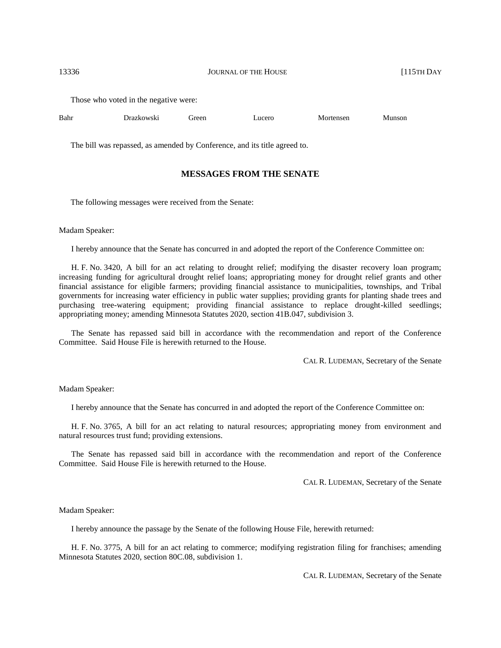Those who voted in the negative were:

| Bahr | Drazkowski | breen | ∟ucero | Mortensen<br>. | Munson |
|------|------------|-------|--------|----------------|--------|
|      |            |       |        |                |        |

The bill was repassed, as amended by Conference, and its title agreed to.

# **MESSAGES FROM THE SENATE**

The following messages were received from the Senate:

#### Madam Speaker:

I hereby announce that the Senate has concurred in and adopted the report of the Conference Committee on:

H. F. No. 3420, A bill for an act relating to drought relief; modifying the disaster recovery loan program; increasing funding for agricultural drought relief loans; appropriating money for drought relief grants and other financial assistance for eligible farmers; providing financial assistance to municipalities, townships, and Tribal governments for increasing water efficiency in public water supplies; providing grants for planting shade trees and purchasing tree-watering equipment; providing financial assistance to replace drought-killed seedlings; appropriating money; amending Minnesota Statutes 2020, section 41B.047, subdivision 3.

The Senate has repassed said bill in accordance with the recommendation and report of the Conference Committee. Said House File is herewith returned to the House.

CAL R. LUDEMAN, Secretary of the Senate

## Madam Speaker:

I hereby announce that the Senate has concurred in and adopted the report of the Conference Committee on:

H. F. No. 3765, A bill for an act relating to natural resources; appropriating money from environment and natural resources trust fund; providing extensions.

The Senate has repassed said bill in accordance with the recommendation and report of the Conference Committee. Said House File is herewith returned to the House.

CAL R. LUDEMAN, Secretary of the Senate

Madam Speaker:

I hereby announce the passage by the Senate of the following House File, herewith returned:

H. F. No. 3775, A bill for an act relating to commerce; modifying registration filing for franchises; amending Minnesota Statutes 2020, section 80C.08, subdivision 1.

CAL R. LUDEMAN, Secretary of the Senate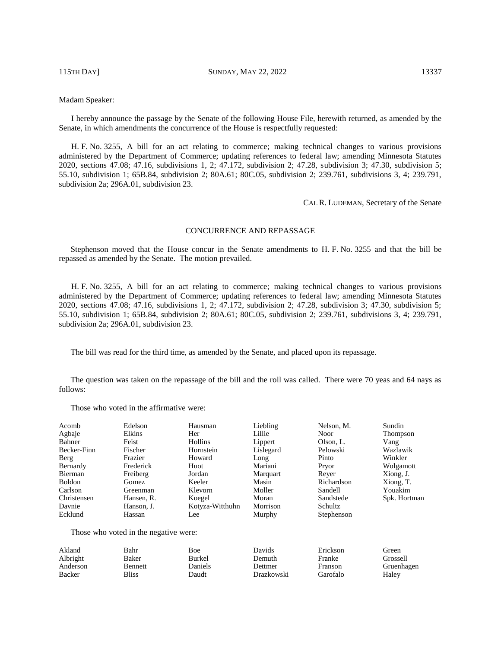115TH DAY] SUNDAY, MAY 22, 2022 13337

# Madam Speaker:

I hereby announce the passage by the Senate of the following House File, herewith returned, as amended by the Senate, in which amendments the concurrence of the House is respectfully requested:

H. F. No. 3255, A bill for an act relating to commerce; making technical changes to various provisions administered by the Department of Commerce; updating references to federal law; amending Minnesota Statutes 2020, sections 47.08; 47.16, subdivisions 1, 2; 47.172, subdivision 2; 47.28, subdivision 3; 47.30, subdivision 5; 55.10, subdivision 1; 65B.84, subdivision 2; 80A.61; 80C.05, subdivision 2; 239.761, subdivisions 3, 4; 239.791, subdivision 2a; 296A.01, subdivision 23.

CAL R. LUDEMAN, Secretary of the Senate

# CONCURRENCE AND REPASSAGE

Stephenson moved that the House concur in the Senate amendments to H. F. No. 3255 and that the bill be repassed as amended by the Senate. The motion prevailed.

H. F. No. 3255, A bill for an act relating to commerce; making technical changes to various provisions administered by the Department of Commerce; updating references to federal law; amending Minnesota Statutes 2020, sections 47.08; 47.16, subdivisions 1, 2; 47.172, subdivision 2; 47.28, subdivision 3; 47.30, subdivision 5; 55.10, subdivision 1; 65B.84, subdivision 2; 80A.61; 80C.05, subdivision 2; 239.761, subdivisions 3, 4; 239.791, subdivision 2a; 296A.01, subdivision 23.

The bill was read for the third time, as amended by the Senate, and placed upon its repassage.

The question was taken on the repassage of the bill and the roll was called. There were 70 yeas and 64 nays as follows:

Those who voted in the affirmative were:

| Acomb       | Edelson    | Hausman         | Liebling  | Nelson, M. | Sundin       |
|-------------|------------|-----------------|-----------|------------|--------------|
| Agbaje      | Elkins     | Her             | Lillie    | Noor       | Thompson     |
| Bahner      | Feist      | Hollins         | Lippert   | Olson, L.  | Vang         |
| Becker-Finn | Fischer    | Hornstein       | Lislegard | Pelowski   | Wazlawik     |
| Berg        | Frazier    | Howard          | Long      | Pinto      | Winkler      |
| Bernardy    | Frederick  | Huot            | Mariani   | Pryor      | Wolgamott    |
| Bierman     | Freiberg   | Jordan          | Marquart  | Rever      | Xiong, J.    |
| Boldon      | Gomez      | Keeler          | Masin     | Richardson | Xiong, T.    |
| Carlson     | Greenman   | Klevorn         | Moller    | Sandell    | Youakim      |
| Christensen | Hansen, R. | Koegel          | Moran     | Sandstede  | Spk. Hortman |
| Davnie      | Hanson, J. | Kotyza-Witthuhn | Morrison  | Schultz    |              |
| Ecklund     | Hassan     | Lee             | Murphy    | Stephenson |              |

Those who voted in the negative were:

| Akland   | Bahr           | Boe     | Davids     | Erickson | Green      |
|----------|----------------|---------|------------|----------|------------|
| Albright | Baker          | Burkel  | Demuth     | Franke   | Grossell   |
| Anderson | <b>Bennett</b> | Daniels | Dettmer    | Franson  | Gruenhagen |
| Backer   | Bliss          | Daudt   | Drazkowski | Garofalo | Halev      |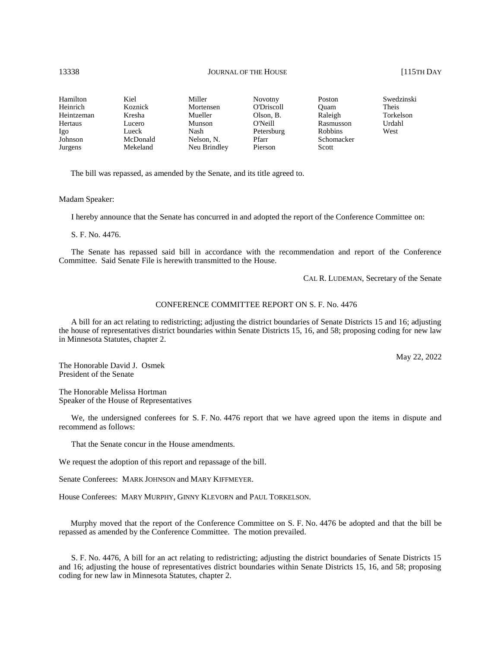| Hamilton   | Kiel     | Miller       | Novotny           | Poston         | Swedzinski |
|------------|----------|--------------|-------------------|----------------|------------|
| Heinrich   | Koznick  | Mortensen    | <b>O'Driscoll</b> | Ouam           | Theis      |
| Heintzeman | Kresha   | Mueller      | Olson, B.         | Raleigh        | Torkelson  |
| Hertaus    | Lucero   | Munson       | O'Neill           | Rasmusson      | Urdahl     |
| Igo        | Lueck    | Nash         | Petersburg        | <b>Robbins</b> | West       |
| Johnson    | McDonald | Nelson, N.   | Pfarr             | Schomacker     |            |
| Jurgens    | Mekeland | Neu Brindley | Pierson           | Scott          |            |

The bill was repassed, as amended by the Senate, and its title agreed to.

Madam Speaker:

I hereby announce that the Senate has concurred in and adopted the report of the Conference Committee on:

S. F. No. 4476.

The Senate has repassed said bill in accordance with the recommendation and report of the Conference Committee. Said Senate File is herewith transmitted to the House.

CAL R. LUDEMAN, Secretary of the Senate

#### CONFERENCE COMMITTEE REPORT ON S. F. No. 4476

A bill for an act relating to redistricting; adjusting the district boundaries of Senate Districts 15 and 16; adjusting the house of representatives district boundaries within Senate Districts 15, 16, and 58; proposing coding for new law in Minnesota Statutes, chapter 2.

May 22, 2022

The Honorable David J. Osmek President of the Senate

The Honorable Melissa Hortman Speaker of the House of Representatives

We, the undersigned conferees for S. F. No. 4476 report that we have agreed upon the items in dispute and recommend as follows:

That the Senate concur in the House amendments.

We request the adoption of this report and repassage of the bill.

Senate Conferees: MARK JOHNSON and MARY KIFFMEYER.

House Conferees: MARY MURPHY, GINNY KLEVORN and PAUL TORKELSON.

Murphy moved that the report of the Conference Committee on S. F. No. 4476 be adopted and that the bill be repassed as amended by the Conference Committee. The motion prevailed.

S. F. No. 4476, A bill for an act relating to redistricting; adjusting the district boundaries of Senate Districts 15 and 16; adjusting the house of representatives district boundaries within Senate Districts 15, 16, and 58; proposing coding for new law in Minnesota Statutes, chapter 2.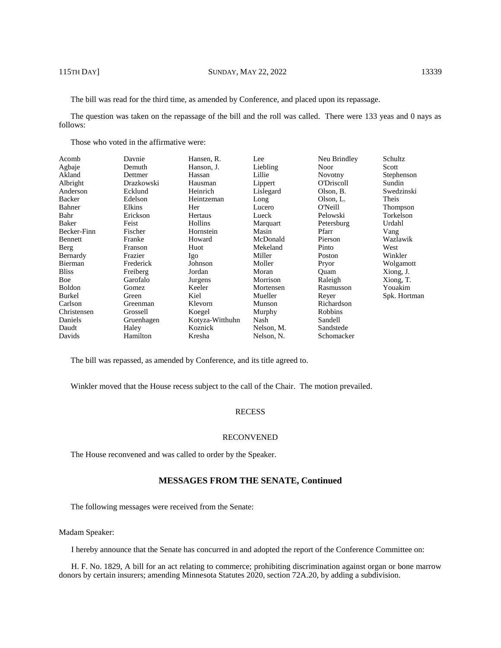The bill was read for the third time, as amended by Conference, and placed upon its repassage.

The question was taken on the repassage of the bill and the roll was called. There were 133 yeas and 0 nays as follows:

Those who voted in the affirmative were:

| Davnie     | Hansen, R.      | Lee        | Neu Brindley      | Schultz      |
|------------|-----------------|------------|-------------------|--------------|
| Demuth     | Hanson, J.      | Liebling   | Noor              | Scott        |
| Dettmer    | Hassan          | Lillie     | <b>Novotny</b>    | Stephenson   |
| Drazkowski | Hausman         | Lippert    | <b>O'Driscoll</b> | Sundin       |
| Ecklund    | Heinrich        | Lislegard  | Olson, B.         | Swedzinski   |
| Edelson    | Heintzeman      | Long       | Olson, L.         | Theis        |
| Elkins     | Her             | Lucero     | O'Neill           | Thompson     |
| Erickson   | Hertaus         | Lueck      | Pelowski          | Torkelson    |
| Feist      | Hollins         | Marquart   | Petersburg        | Urdahl       |
| Fischer    | Hornstein       | Masin      | Pfarr             | Vang         |
| Franke     | Howard          | McDonald   | Pierson           | Wazlawik     |
| Franson    | Huot            | Mekeland   | Pinto             | West         |
| Frazier    | Igo             | Miller     | Poston            | Winkler      |
| Frederick  | Johnson         | Moller     | Pryor             | Wolgamott    |
| Freiberg   | Jordan          | Moran      | Ouam              | Xiong, J.    |
| Garofalo   | Jurgens         | Morrison   | Raleigh           | Xiong, T.    |
| Gomez      | Keeler          | Mortensen  | Rasmusson         | Youakim      |
| Green      | Kiel            | Mueller    | Reyer             | Spk. Hortman |
| Greenman   | Klevorn         | Munson     | Richardson        |              |
| Grossell   | Koegel          |            | Robbins           |              |
| Gruenhagen | Kotyza-Witthuhn | Nash       | Sandell           |              |
| Haley      | Koznick         | Nelson, M. | Sandstede         |              |
| Hamilton   | Kresha          | Nelson, N. | Schomacker        |              |
|            |                 |            | Murphy            |              |

The bill was repassed, as amended by Conference, and its title agreed to.

Winkler moved that the House recess subject to the call of the Chair. The motion prevailed.

# **RECESS**

#### RECONVENED

The House reconvened and was called to order by the Speaker.

# **MESSAGES FROM THE SENATE, Continued**

The following messages were received from the Senate:

#### Madam Speaker:

I hereby announce that the Senate has concurred in and adopted the report of the Conference Committee on:

H. F. No. 1829, A bill for an act relating to commerce; prohibiting discrimination against organ or bone marrow donors by certain insurers; amending Minnesota Statutes 2020, section 72A.20, by adding a subdivision.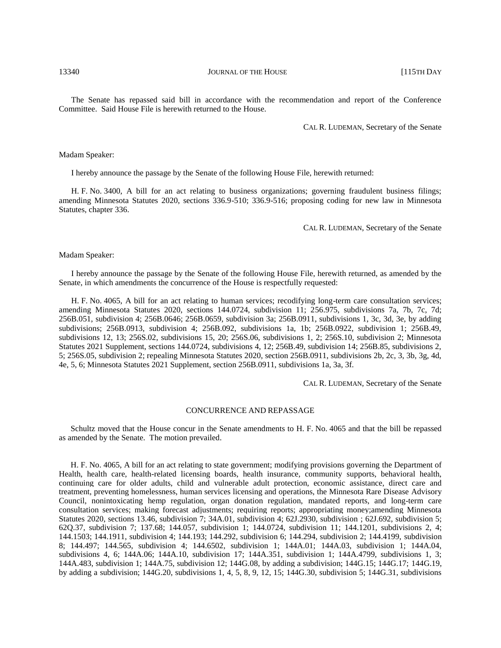The Senate has repassed said bill in accordance with the recommendation and report of the Conference Committee. Said House File is herewith returned to the House.

CAL R. LUDEMAN, Secretary of the Senate

#### Madam Speaker:

I hereby announce the passage by the Senate of the following House File, herewith returned:

H. F. No. 3400, A bill for an act relating to business organizations; governing fraudulent business filings; amending Minnesota Statutes 2020, sections 336.9-510; 336.9-516; proposing coding for new law in Minnesota Statutes, chapter 336.

CAL R. LUDEMAN, Secretary of the Senate

Madam Speaker:

I hereby announce the passage by the Senate of the following House File, herewith returned, as amended by the Senate, in which amendments the concurrence of the House is respectfully requested:

H. F. No. 4065, A bill for an act relating to human services; recodifying long-term care consultation services; amending Minnesota Statutes 2020, sections 144.0724, subdivision 11; 256.975, subdivisions 7a, 7b, 7c, 7d; 256B.051, subdivision 4; 256B.0646; 256B.0659, subdivision 3a; 256B.0911, subdivisions 1, 3c, 3d, 3e, by adding subdivisions; 256B.0913, subdivision 4; 256B.092, subdivisions 1a, 1b; 256B.0922, subdivision 1; 256B.49, subdivisions 12, 13; 256S.02, subdivisions 15, 20; 256S.06, subdivisions 1, 2; 256S.10, subdivision 2; Minnesota Statutes 2021 Supplement, sections 144.0724, subdivisions 4, 12; 256B.49, subdivision 14; 256B.85, subdivisions 2, 5; 256S.05, subdivision 2; repealing Minnesota Statutes 2020, section 256B.0911, subdivisions 2b, 2c, 3, 3b, 3g, 4d, 4e, 5, 6; Minnesota Statutes 2021 Supplement, section 256B.0911, subdivisions 1a, 3a, 3f.

CAL R. LUDEMAN, Secretary of the Senate

#### CONCURRENCE AND REPASSAGE

Schultz moved that the House concur in the Senate amendments to H. F. No. 4065 and that the bill be repassed as amended by the Senate. The motion prevailed.

H. F. No. 4065, A bill for an act relating to state government; modifying provisions governing the Department of Health, health care, health-related licensing boards, health insurance, community supports, behavioral health, continuing care for older adults, child and vulnerable adult protection, economic assistance, direct care and treatment, preventing homelessness, human services licensing and operations, the Minnesota Rare Disease Advisory Council, nonintoxicating hemp regulation, organ donation regulation, mandated reports, and long-term care consultation services; making forecast adjustments; requiring reports; appropriating money;amending Minnesota Statutes 2020, sections 13.46, subdivision 7; 34A.01, subdivision 4; 62J.2930, subdivision ; 62J.692, subdivision 5; 62Q.37, subdivision 7; 137.68; 144.057, subdivision 1; 144.0724, subdivision 11; 144.1201, subdivisions 2, 4; 144.1503; 144.1911, subdivision 4; 144.193; 144.292, subdivision 6; 144.294, subdivision 2; 144.4199, subdivision 8; 144.497; 144.565, subdivision 4; 144.6502, subdivision 1; 144A.01; 144A.03, subdivision 1; 144A.04, subdivisions 4, 6; 144A.06; 144A.10, subdivision 17; 144A.351, subdivision 1; 144A.4799, subdivisions 1, 3; 144A.483, subdivision 1; 144A.75, subdivision 12; 144G.08, by adding a subdivision; 144G.15; 144G.17; 144G.19, by adding a subdivision; 144G.20, subdivisions 1, 4, 5, 8, 9, 12, 15; 144G.30, subdivision 5; 144G.31, subdivisions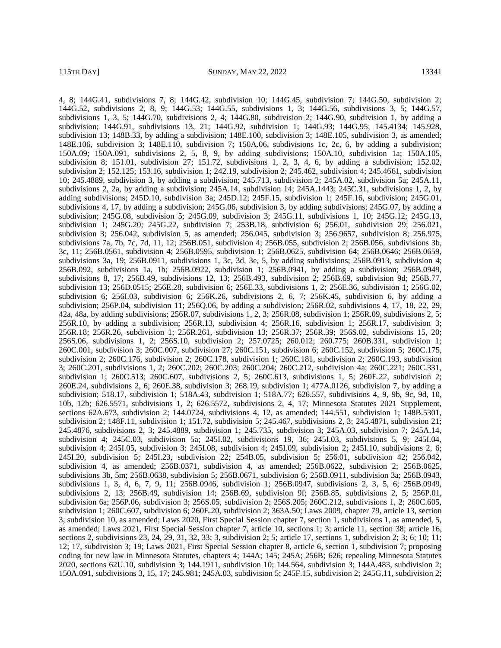4, 8; 144G.41, subdivisions 7, 8; 144G.42, subdivision 10; 144G.45, subdivision 7; 144G.50, subdivision 2; 144G.52, subdivisions 2, 8, 9; 144G.53; 144G.55, subdivisions 1, 3; 144G.56, subdivisions 3, 5; 144G.57, subdivisions 1, 3, 5; 144G.70, subdivisions 2, 4; 144G.80, subdivision 2; 144G.90, subdivision 1, by adding a subdivision; 144G.91, subdivisions 13, 21; 144G.92, subdivision 1; 144G.93; 144G.95; 145.4134; 145.928, subdivision 13; 148B.33, by adding a subdivision; 148E.100, subdivision 3; 148E.105, subdivision 3, as amended; 148E.106, subdivision 3; 148E.110, subdivision 7; 150A.06, subdivisions 1c, 2c, 6, by adding a subdivision; 150A.09; 150A.091, subdivisions 2, 5, 8, 9, by adding subdivisions; 150A.10, subdivision 1a; 150A.105, subdivision 8; 151.01, subdivision 27; 151.72, subdivisions 1, 2, 3, 4, 6, by adding a subdivision; 152.02, subdivision 2; 152.125; 153.16, subdivision 1; 242.19, subdivision 2; 245.462, subdivision 4; 245.4661, subdivision 10; 245.4889, subdivision 3, by adding a subdivision; 245.713, subdivision 2; 245A.02, subdivision 5a; 245A.11, subdivisions 2, 2a, by adding a subdivision; 245A.14, subdivision 14; 245A.1443; 245C.31, subdivisions 1, 2, by adding subdivisions; 245D.10, subdivision 3a; 245D.12; 245F.15, subdivision 1; 245F.16, subdivision; 245G.01, subdivisions 4, 17, by adding a subdivision; 245G.06, subdivision 3, by adding subdivisions; 245G.07, by adding a subdivision; 245G.08, subdivision 5; 245G.09, subdivision 3; 245G.11, subdivisions 1, 10; 245G.12; 245G.13, subdivision 1; 245G.20; 245G.22, subdivision 7; 253B.18, subdivision 6; 256.01, subdivision 29; 256.021, subdivision 3; 256.042, subdivision 5, as amended; 256.045, subdivision 3; 256.9657, subdivision 8; 256.975, subdivisions 7a, 7b, 7c, 7d, 11, 12; 256B.051, subdivision 4; 256B.055, subdivision 2; 256B.056, subdivisions 3b, 3c, 11; 256B.0561, subdivision 4; 256B.0595, subdivision 1; 256B.0625, subdivision 64; 256B.0646; 256B.0659, subdivisions 3a, 19; 256B.0911, subdivisions 1, 3c, 3d, 3e, 5, by adding subdivisions; 256B.0913, subdivision 4; 256B.092, subdivisions 1a, 1b; 256B.0922, subdivision 1; 256B.0941, by adding a subdivision; 256B.0949, subdivisions 8, 17; 256B.49, subdivisions 12, 13; 256B.493, subdivision 2; 256B.69, subdivision 9d; 256B.77, subdivision 13; 256D.0515; 256E.28, subdivision 6; 256E.33, subdivisions 1, 2; 256E.36, subdivision 1; 256G.02, subdivision 6; 256I.03, subdivision 6; 256K.26, subdivisions 2, 6, 7; 256K.45, subdivision 6, by adding a subdivision; 256P.04, subdivision 11; 256Q.06, by adding a subdivision; 256R.02, subdivisions 4, 17, 18, 22, 29, 42a, 48a, by adding subdivisions; 256R.07, subdivisions 1, 2, 3; 256R.08, subdivision 1; 256R.09, subdivisions 2, 5; 256R.10, by adding a subdivision; 256R.13, subdivision 4; 256R.16, subdivision 1; 256R.17, subdivision 3; 256R.18; 256R.26, subdivision 1; 256R.261, subdivision 13; 256R.37; 256R.39; 256S.02, subdivisions 15, 20; 256S.06, subdivisions 1, 2; 256S.10, subdivision 2; 257.0725; 260.012; 260.775; 260B.331, subdivision 1; 260C.001, subdivision 3; 260C.007, subdivision 27; 260C.151, subdivision 6; 260C.152, subdivision 5; 260C.175, subdivision 2; 260C.176, subdivision 2; 260C.178, subdivision 1; 260C.181, subdivision 2; 260C.193, subdivision 3; 260C.201, subdivisions 1, 2; 260C.202; 260C.203; 260C.204; 260C.212, subdivision 4a; 260C.221; 260C.331, subdivision 1; 260C.513; 260C.607, subdivisions 2, 5; 260C.613, subdivisions 1, 5; 260E.22, subdivision 2; 260E.24, subdivisions 2, 6; 260E.38, subdivision 3; 268.19, subdivision 1; 477A.0126, subdivision 7, by adding a subdivision; 518.17, subdivision 1; 518A.43, subdivision 1; 518A.77; 626.557, subdivisions 4, 9, 9b, 9c, 9d, 10, 10b, 12b; 626.5571, subdivisions 1, 2; 626.5572, subdivisions 2, 4, 17; Minnesota Statutes 2021 Supplement, sections 62A.673, subdivision 2; 144.0724, subdivisions 4, 12, as amended; 144.551, subdivision 1; 148B.5301, subdivision 2; 148F.11, subdivision 1; 151.72, subdivision 5; 245.467, subdivisions 2, 3; 245.4871, subdivision 21; 245.4876, subdivisions 2, 3; 245.4889, subdivision 1; 245.735, subdivision 3; 245A.03, subdivision 7; 245A.14, subdivision 4; 245C.03, subdivision 5a; 245I.02, subdivisions 19, 36; 245I.03, subdivisions 5, 9; 245I.04, subdivision 4; 245I.05, subdivision 3; 245I.08, subdivision 4; 245I.09, subdivision 2; 245I.10, subdivisions 2, 6; 245I.20, subdivision 5; 245I.23, subdivision 22; 254B.05, subdivision 5; 256.01, subdivision 42; 256.042, subdivision 4, as amended; 256B.0371, subdivision 4, as amended; 256B.0622, subdivision 2; 256B.0625, subdivisions 3b, 5m; 256B.0638, subdivision 5; 256B.0671, subdivision 6; 256B.0911, subdivision 3a; 256B.0943, subdivisions 1, 3, 4, 6, 7, 9, 11; 256B.0946, subdivision 1; 256B.0947, subdivisions 2, 3, 5, 6; 256B.0949, subdivisions 2, 13; 256B.49, subdivision 14; 256B.69, subdivision 9f; 256B.85, subdivisions 2, 5; 256P.01, subdivision 6a; 256P.06, subdivision 3; 256S.05, subdivision 2; 256S.205; 260C.212, subdivisions 1, 2; 260C.605, subdivision 1; 260C.607, subdivision 6; 260E.20, subdivision 2; 363A.50; Laws 2009, chapter 79, article 13, section 3, subdivision 10, as amended; Laws 2020, First Special Session chapter 7, section 1, subdivisions 1, as amended, 5, as amended; Laws 2021, First Special Session chapter 7, article 10, sections 1; 3; article 11, section 38; article 16, sections 2, subdivisions 23, 24, 29, 31, 32, 33; 3, subdivision 2; 5; article 17, sections 1, subdivision 2; 3; 6; 10; 11; 12; 17, subdivision 3; 19; Laws 2021, First Special Session chapter 8, article 6, section 1, subdivision 7; proposing coding for new law in Minnesota Statutes, chapters 4; 144A; 145; 245A; 256B; 626; repealing Minnesota Statutes 2020, sections 62U.10, subdivision 3; 144.1911, subdivision 10; 144.564, subdivision 3; 144A.483, subdivision 2; 150A.091, subdivisions 3, 15, 17; 245.981; 245A.03, subdivision 5; 245F.15, subdivision 2; 245G.11, subdivision 2;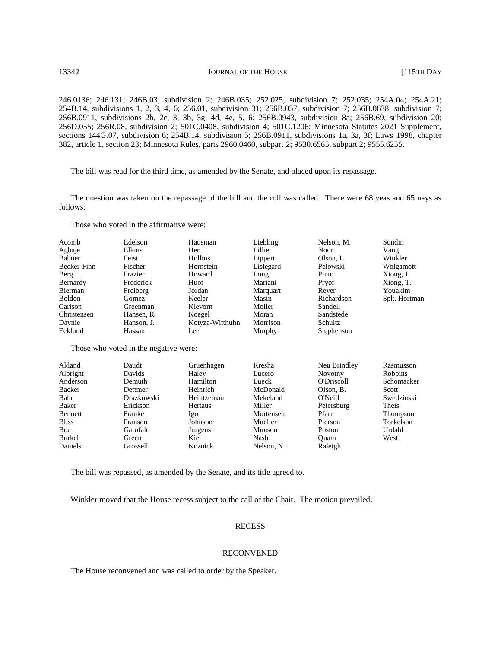246.0136; 246.131; 246B.03, subdivision 2; 246B.035; 252.025, subdivision 7; 252.035; 254A.04; 254A.21; 254B.14, subdivisions 1, 2, 3, 4, 6; 256.01, subdivision 31; 256B.057, subdivision 7; 256B.0638, subdivision 7; 256B.0911, subdivisions 2b, 2c, 3, 3b, 3g, 4d, 4e, 5, 6; 256B.0943, subdivision 8a; 256B.69, subdivision 20; 256D.055; 256R.08, subdivision 2; 501C.0408, subdivision 4; 501C.1206; Minnesota Statutes 2021 Supplement, sections 144G.07, subdivision 6; 254B.14, subdivision 5; 256B.0911, subdivisions 1a, 3a, 3f; Laws 1998, chapter 382, article 1, section 23; Minnesota Rules, parts 2960.0460, subpart 2; 9530.6565, subpart 2; 9555.6255.

The bill was read for the third time, as amended by the Senate, and placed upon its repassage.

The question was taken on the repassage of the bill and the roll was called. There were 68 yeas and 65 nays as follows:

Those who voted in the affirmative were:

| Acomb         | Edelson    | Hausman         | Liebling  | Nelson, M. | Sundin       |
|---------------|------------|-----------------|-----------|------------|--------------|
| Agbaje        | Elkins     | Her             | Lillie    | Noor       | Vang         |
| Bahner        | Feist      | Hollins         | Lippert   | Olson, L.  | Winkler      |
| Becker-Finn   | Fischer    | Hornstein       | Lislegard | Pelowski   | Wolgamott    |
| Berg          | Frazier    | Howard          | Long      | Pinto      | Xiong, J.    |
| Bernardy      | Frederick  | Huot            | Mariani   | Pryor      | Xiong, T.    |
| Bierman       | Freiberg   | Jordan          | Marquart  | Rever      | Youakim      |
| <b>Boldon</b> | Gomez      | Keeler          | Masin     | Richardson | Spk. Hortman |
| Carlson       | Greenman   | Klevorn         | Moller    | Sandell    |              |
| Christensen   | Hansen, R. | Koegel          | Moran     | Sandstede  |              |
| Davnie        | Hanson, J. | Kotyza-Witthuhn | Morrison  | Schultz    |              |
| Ecklund       | Hassan     | Lee             | Murphy    | Stephenson |              |

Those who voted in the negative were:

| Akland       | Daudt      | Gruenhagen     | Kresha     | Neu Brindley   | Rasmusson      |
|--------------|------------|----------------|------------|----------------|----------------|
| Albright     | Davids     | Haley          | Lucero     | <b>Novotny</b> | <b>Robbins</b> |
| Anderson     | Demuth     | Hamilton       | Lueck      | O'Driscoll     | Schomacker     |
| Backer       | Dettmer    | Heinrich       | McDonald   | Olson, B.      | Scott          |
| Bahr         | Drazkowski | Heintzeman     | Mekeland   | O'Neill        | Swedzinski     |
| Baker        | Erickson   | <b>Hertaus</b> | Miller     | Petersburg     | Theis          |
| Bennett      | Franke     | lgo            | Mortensen  | Pfarr          | Thompson       |
| <b>Bliss</b> | Franson    | Johnson        | Mueller    | Pierson        | Torkelson      |
| Boe          | Garofalo   | Jurgens        | Munson     | <b>Poston</b>  | Urdahl         |
| Burkel       | Green      | Kiel           | Nash       | Ouam           | West           |
| Daniels      | Grossell   | Koznick        | Nelson, N. | Raleigh        |                |

The bill was repassed, as amended by the Senate, and its title agreed to.

Winkler moved that the House recess subject to the call of the Chair. The motion prevailed.

# RECESS

#### RECONVENED

The House reconvened and was called to order by the Speaker.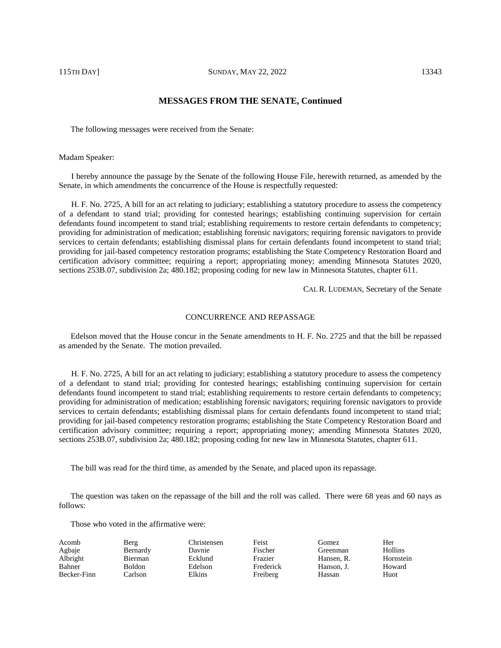# **MESSAGES FROM THE SENATE, Continued**

The following messages were received from the Senate:

#### Madam Speaker:

I hereby announce the passage by the Senate of the following House File, herewith returned, as amended by the Senate, in which amendments the concurrence of the House is respectfully requested:

H. F. No. 2725, A bill for an act relating to judiciary; establishing a statutory procedure to assess the competency of a defendant to stand trial; providing for contested hearings; establishing continuing supervision for certain defendants found incompetent to stand trial; establishing requirements to restore certain defendants to competency; providing for administration of medication; establishing forensic navigators; requiring forensic navigators to provide services to certain defendants; establishing dismissal plans for certain defendants found incompetent to stand trial; providing for jail-based competency restoration programs; establishing the State Competency Restoration Board and certification advisory committee; requiring a report; appropriating money; amending Minnesota Statutes 2020, sections 253B.07, subdivision 2a; 480.182; proposing coding for new law in Minnesota Statutes, chapter 611.

CAL R. LUDEMAN, Secretary of the Senate

#### CONCURRENCE AND REPASSAGE

Edelson moved that the House concur in the Senate amendments to H. F. No. 2725 and that the bill be repassed as amended by the Senate. The motion prevailed.

H. F. No. 2725, A bill for an act relating to judiciary; establishing a statutory procedure to assess the competency of a defendant to stand trial; providing for contested hearings; establishing continuing supervision for certain defendants found incompetent to stand trial; establishing requirements to restore certain defendants to competency; providing for administration of medication; establishing forensic navigators; requiring forensic navigators to provide services to certain defendants; establishing dismissal plans for certain defendants found incompetent to stand trial; providing for jail-based competency restoration programs; establishing the State Competency Restoration Board and certification advisory committee; requiring a report; appropriating money; amending Minnesota Statutes 2020, sections 253B.07, subdivision 2a; 480.182; proposing coding for new law in Minnesota Statutes, chapter 611.

The bill was read for the third time, as amended by the Senate, and placed upon its repassage.

The question was taken on the repassage of the bill and the roll was called. There were 68 yeas and 60 nays as follows:

Those who voted in the affirmative were:

| Acomb       | Berg          | Christensen | Feist     | Gomez      | Her            |
|-------------|---------------|-------------|-----------|------------|----------------|
| Agbaje      | Bernardy      | Davnie      | Fischer   | Greenman   | <b>Hollins</b> |
| Albright    | Bierman       | Ecklund     | Frazier   | Hansen, R. | Hornstein      |
| Bahner      | <b>Boldon</b> | Edelson     | Frederick | Hanson. J. | Howard         |
| Becker-Finn | Carlson       | Elkins      | Freiberg  | Hassan     | Huot           |